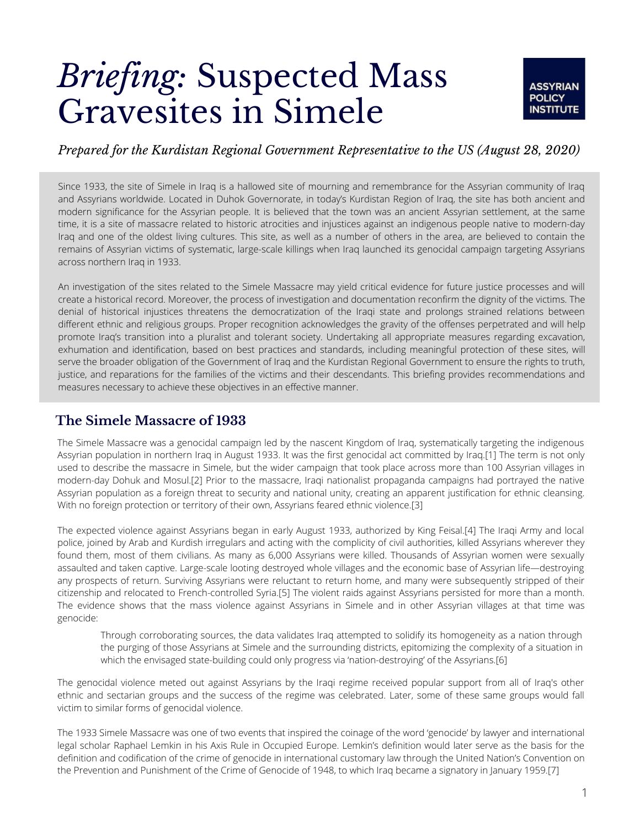# *Briefing:* Suspected Mass Gravesites in Simele



### *Prepared for the Kurdistan Regional Government Representative to the US (August 28, 2020)*

Since 1933, the site of Simele in Iraq is a hallowed site of mourning and remembrance for the Assyrian community of Iraq and Assyrians worldwide. Located in Duhok Governorate, in today's Kurdistan Region of Iraq, the site has both ancient and modern significance for the Assyrian people. It is believed that the town was an ancient Assyrian settlement, at the same time, it is a site of massacre related to historic atrocities and injustices against an indigenous people native to modern-day Iraq and one of the oldest living cultures. This site, as well as a number of others in the area, are believed to contain the remains of Assyrian victims of systematic, large-scale killings when Iraq launched its genocidal campaign targeting Assyrians across northern Iraq in 1933.

An investigation of the sites related to the Simele Massacre may yield critical evidence for future justice processes and will create a historical record. Moreover, the process of investigation and documentation reconfirm the dignity of the victims. The denial of historical injustices threatens the democratization of the Iraqi state and prolongs strained relations between different ethnic and religious groups. Proper recognition acknowledges the gravity of the offenses perpetrated and will help promote Iraq's transition into a pluralist and tolerant society. Undertaking all appropriate measures regarding excavation, exhumation and identification, based on best practices and standards, including meaningful protection of these sites, will serve the broader obligation of the Government of Iraq and the Kurdistan Regional Government to ensure the rights to truth, justice, and reparations for the families of the victims and their descendants. This briefing provides recommendations and measures necessary to achieve these objectives in an effective manner.

## **The Simele Massacre of 1933**

The Simele Massacre was a genocidal campaign led by the nascent Kingdom of Iraq, systematically targeting the indigenous Assyrian population in northern Iraq in August 1933. It was the first genocidal act committed by Iraq.[1] The term is not only used to describe the massacre in Simele, but the wider campaign that took place across more than 100 Assyrian villages in modern-day Dohuk and Mosul.[2] Prior to the massacre, Iraqi nationalist propaganda campaigns had portrayed the native Assyrian population as a foreign threat to security and national unity, creating an apparent justification for ethnic cleansing. With no foreign protection or territory of their own, Assyrians feared ethnic violence.[3]

The expected violence against Assyrians began in early August 1933, authorized by King Feisal.[4] The Iraqi Army and local police, joined by Arab and Kurdish irregulars and acting with the complicity of civil authorities, killed Assyrians wherever they found them, most of them civilians. As many as 6,000 Assyrians were killed. Thousands of Assyrian women were sexually assaulted and taken captive. Large-scale looting destroyed whole villages and the economic base of Assyrian life—destroying any prospects of return. Surviving Assyrians were reluctant to return home, and many were subsequently stripped of their citizenship and relocated to French-controlled Syria.[5] The violent raids against Assyrians persisted for more than a month. The evidence shows that the mass violence against Assyrians in Simele and in other Assyrian villages at that time was genocide:

Through corroborating sources, the data validates Iraq attempted to solidify its homogeneity as a nation through the purging of those Assyrians at Simele and the surrounding districts, epitomizing the complexity of a situation in which the envisaged state-building could only progress via 'nation-destroying' of the Assyrians.[6]

The genocidal violence meted out against Assyrians by the Iraqi regime received popular support from all of Iraq's other ethnic and sectarian groups and the success of the regime was celebrated. Later, some of these same groups would fall victim to similar forms of genocidal violence.

The 1933 Simele Massacre was one of two events that inspired the coinage of the word 'genocide' by lawyer and international legal scholar Raphael Lemkin in his Axis Rule in Occupied Europe. Lemkin's definition would later serve as the basis for the definition and codification of the crime of genocide in international customary law through the United Nation's Convention on the Prevention and Punishment of the Crime of Genocide of 1948, to which Iraq became a signatory in January 1959.[7]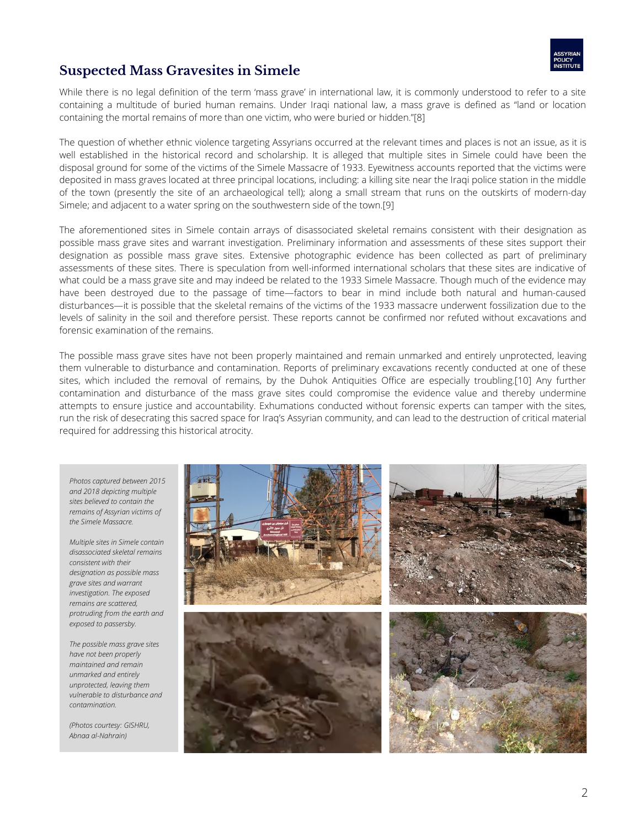

## **Suspected Mass Gravesites in Simele**

While there is no legal definition of the term 'mass grave' in international law, it is commonly understood to refer to a site containing a multitude of buried human remains. Under Iraqi national law, a mass grave is defined as "land or location containing the mortal remains of more than one victim, who were buried or hidden."[8]

The question of whether ethnic violence targeting Assyrians occurred at the relevant times and places is not an issue, as it is well established in the historical record and scholarship. It is alleged that multiple sites in Simele could have been the disposal ground for some of the victims of the Simele Massacre of 1933. Eyewitness accounts reported that the victims were deposited in mass graves located at three principal locations, including: a killing site near the Iraqi police station in the middle of the town (presently the site of an archaeological tell); along a small stream that runs on the outskirts of modern-day Simele; and adjacent to a water spring on the southwestern side of the town.[9]

The aforementioned sites in Simele contain arrays of disassociated skeletal remains consistent with their designation as possible mass grave sites and warrant investigation. Preliminary information and assessments of these sites support their designation as possible mass grave sites. Extensive photographic evidence has been collected as part of preliminary assessments of these sites. There is speculation from well-informed international scholars that these sites are indicative of what could be a mass grave site and may indeed be related to the 1933 Simele Massacre. Though much of the evidence may have been destroyed due to the passage of time—factors to bear in mind include both natural and human-caused disturbances—it is possible that the skeletal remains of the victims of the 1933 massacre underwent fossilization due to the levels of salinity in the soil and therefore persist. These reports cannot be confirmed nor refuted without excavations and forensic examination of the remains.

The possible mass grave sites have not been properly maintained and remain unmarked and entirely unprotected, leaving them vulnerable to disturbance and contamination. Reports of preliminary excavations recently conducted at one of these sites, which included the removal of remains, by the Duhok Antiquities Office are especially troubling.[10] Any further contamination and disturbance of the mass grave sites could compromise the evidence value and thereby undermine attempts to ensure justice and accountability. Exhumations conducted without forensic experts can tamper with the sites, run the risk of desecrating this sacred space for Iraq's Assyrian community, and can lead to the destruction of critical material required for addressing this historical atrocity.

*Photos captured between 2015 and 2018 depicting multiple sites believed to contain the remains of Assyrian victims of the Simele Massacre.*

*Multiple sites in Simele contain disassociated skeletal remains consistent with their designation as possible mass grave sites and warrant investigation. The exposed remains are scattered, protruding from the earth and exposed to passersby.*

*The possible mass grave sites have not been properly maintained and remain unmarked and entirely unprotected, leaving them vulnerable to disturbance and contamination.*

*(Photos courtesy: GISHRU, Abnaa al-Nahrain)*

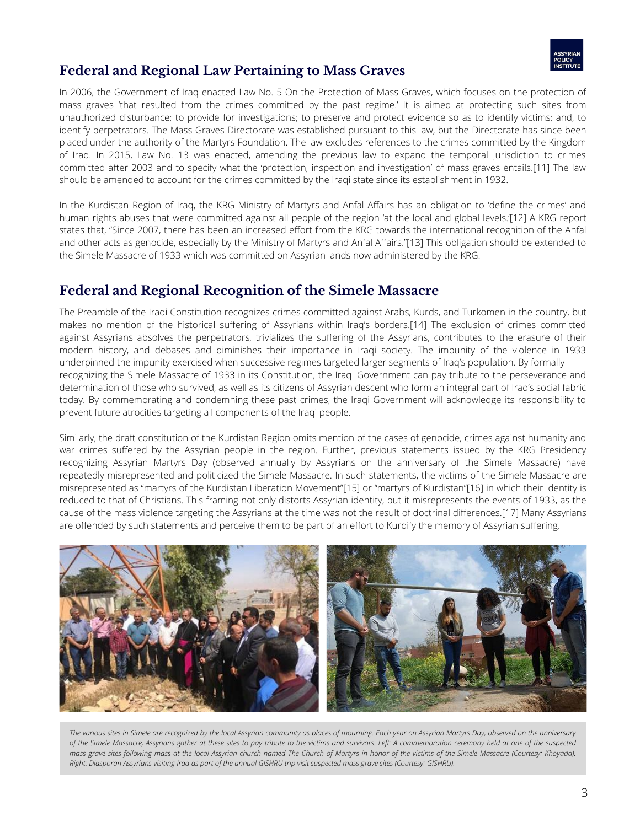

# **Federal and Regional Law Pertaining to Mass Graves**

In 2006, the Government of Iraq enacted Law No. 5 On the Protection of Mass Graves, which focuses on the protection of mass graves 'that resulted from the crimes committed by the past regime.' It is aimed at protecting such sites from unauthorized disturbance; to provide for investigations; to preserve and protect evidence so as to identify victims; and, to identify perpetrators. The Mass Graves Directorate was established pursuant to this law, but the Directorate has since been placed under the authority of the Martyrs Foundation. The law excludes references to the crimes committed by the Kingdom of Iraq. In 2015, Law No. 13 was enacted, amending the previous law to expand the temporal jurisdiction to crimes committed after 2003 and to specify what the 'protection, inspection and investigation' of mass graves entails.[11] The law should be amended to account for the crimes committed by the Iraqi state since its establishment in 1932.

In the Kurdistan Region of Iraq, the KRG Ministry of Martyrs and Anfal Affairs has an obligation to 'define the crimes' and human rights abuses that were committed against all people of the region 'at the local and global levels.'[12] A KRG report states that, "Since 2007, there has been an increased effort from the KRG towards the international recognition of the Anfal and other acts as genocide, especially by the Ministry of Martyrs and Anfal Affairs."[13] This obligation should be extended to the Simele Massacre of 1933 which was committed on Assyrian lands now administered by the KRG.

## **Federal and Regional Recognition of the Simele Massacre**

The Preamble of the Iraqi Constitution recognizes crimes committed against Arabs, Kurds, and Turkomen in the country, but makes no mention of the historical suffering of Assyrians within Iraq's borders.[14] The exclusion of crimes committed against Assyrians absolves the perpetrators, trivializes the suffering of the Assyrians, contributes to the erasure of their modern history, and debases and diminishes their importance in Iraqi society. The impunity of the violence in 1933 underpinned the impunity exercised when successive regimes targeted larger segments of Iraq's population. By formally recognizing the Simele Massacre of 1933 in its Constitution, the Iraqi Government can pay tribute to the perseverance and determination of those who survived, as well as its citizens of Assyrian descent who form an integral part of Iraq's social fabric today. By commemorating and condemning these past crimes, the Iraqi Government will acknowledge its responsibility to prevent future atrocities targeting all components of the Iraqi people.

Similarly, the draft constitution of the Kurdistan Region omits mention of the cases of genocide, crimes against humanity and war crimes suffered by the Assyrian people in the region. Further, previous statements issued by the KRG Presidency recognizing Assyrian Martyrs Day (observed annually by Assyrians on the anniversary of the Simele Massacre) have repeatedly misrepresented and politicized the Simele Massacre. In such statements, the victims of the Simele Massacre are misrepresented as "martyrs of the Kurdistan Liberation Movement"[15] or "martyrs of Kurdistan"[16] in which their identity is reduced to that of Christians. This framing not only distorts Assyrian identity, but it misrepresents the events of 1933, as the cause of the mass violence targeting the Assyrians at the time was not the result of doctrinal differences.[17] Many Assyrians are offended by such statements and perceive them to be part of an effort to Kurdify the memory of Assyrian suffering.



The various sites in Simele are recognized by the local Assyrian community as places of mourning. Each year on Assyrian Martyrs Day, observed on the anniversary of the Simele Massacre, Assyrians gather at these sites to pay tribute to the victims and survivors. Left: A commemoration ceremony held at one of the suspected mass grave sites following mass at the local Assyrian church named The Church of Martyrs in honor of the victims of the Simele Massacre (Courtesy: Khoyada). Right: Diasporan Assyrians visiting Iraq as part of the annual GISHRU trip visit suspected mass grave sites (Courtesy: GISHRU).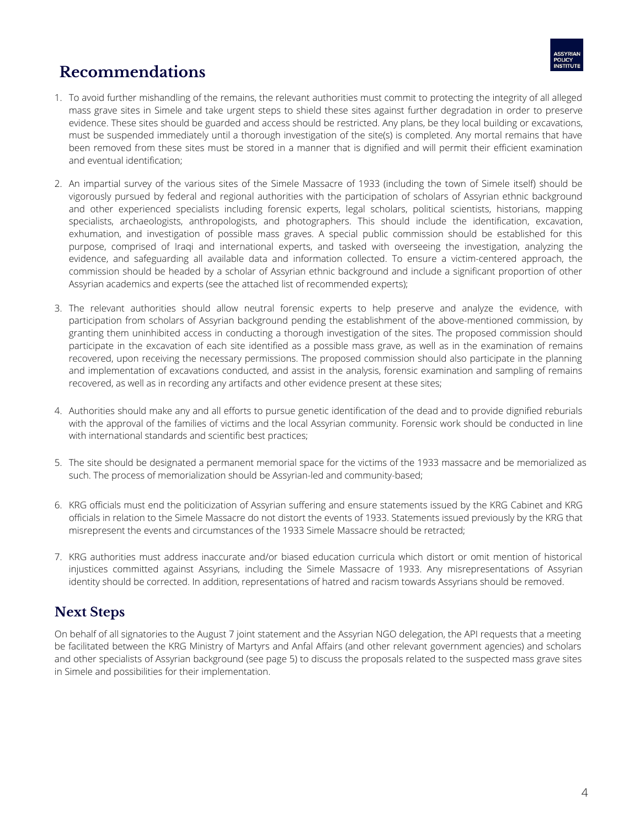

# **Recommendations**

- 1. To avoid further mishandling of the remains, the relevant authorities must commit to protecting the integrity of all alleged mass grave sites in Simele and take urgent steps to shield these sites against further degradation in order to preserve evidence. These sites should be guarded and access should be restricted. Any plans, be they local building or excavations, must be suspended immediately until a thorough investigation of the site(s) is completed. Any mortal remains that have been removed from these sites must be stored in a manner that is dignified and will permit their efficient examination and eventual identification;
- An impartial survey of the various sites of the Simele Massacre of 1933 (including the town of Simele itself) should be 2. vigorously pursued by federal and regional authorities with the participation of scholars of Assyrian ethnic background and other experienced specialists including forensic experts, legal scholars, political scientists, historians, mapping specialists, archaeologists, anthropologists, and photographers. This should include the identification, excavation, exhumation, and investigation of possible mass graves. A special public commission should be established for this purpose, comprised of Iraqi and international experts, and tasked with overseeing the investigation, analyzing the evidence, and safeguarding all available data and information collected. To ensure a victim-centered approach, the commission should be headed by a scholar of Assyrian ethnic background and include a significant proportion of other Assyrian academics and experts (see the attached list of recommended experts);
- 3. The relevant authorities should allow neutral forensic experts to help preserve and analyze the evidence, with participation from scholars of Assyrian background pending the establishment of the above-mentioned commission, by granting them uninhibited access in conducting a thorough investigation of the sites. The proposed commission should participate in the excavation of each site identified as a possible mass grave, as well as in the examination of remains recovered, upon receiving the necessary permissions. The proposed commission should also participate in the planning and implementation of excavations conducted, and assist in the analysis, forensic examination and sampling of remains recovered, as well as in recording any artifacts and other evidence present at these sites;
- 4. Authorities should make any and all efforts to pursue genetic identification of the dead and to provide dignified reburials with the approval of the families of victims and the local Assyrian community. Forensic work should be conducted in line with international standards and scientific best practices;
- 5. The site should be designated a permanent memorial space for the victims of the 1933 massacre and be memorialized as such. The process of memorialization should be Assyrian-led and community-based;
- 6. KRG officials must end the politicization of Assyrian suffering and ensure statements issued by the KRG Cabinet and KRG officials in relation to the Simele Massacre do not distort the events of 1933. Statements issued previously by the KRG that misrepresent the events and circumstances of the 1933 Simele Massacre should be retracted;
- 7. KRG authorities must address inaccurate and/or biased education curricula which distort or omit mention of historical injustices committed against Assyrians, including the Simele Massacre of 1933. Any misrepresentations of Assyrian identity should be corrected. In addition, representations of hatred and racism towards Assyrians should be removed.

## **Next Steps**

On behalf of all signatories to the August 7 joint statement and the Assyrian NGO delegation, the API requests that a meeting be facilitated between the KRG Ministry of Martyrs and Anfal Affairs (and other relevant government agencies) and scholars and other specialists of Assyrian background (see page 5) to discuss the proposals related to the suspected mass grave sites in Simele and possibilities for their implementation.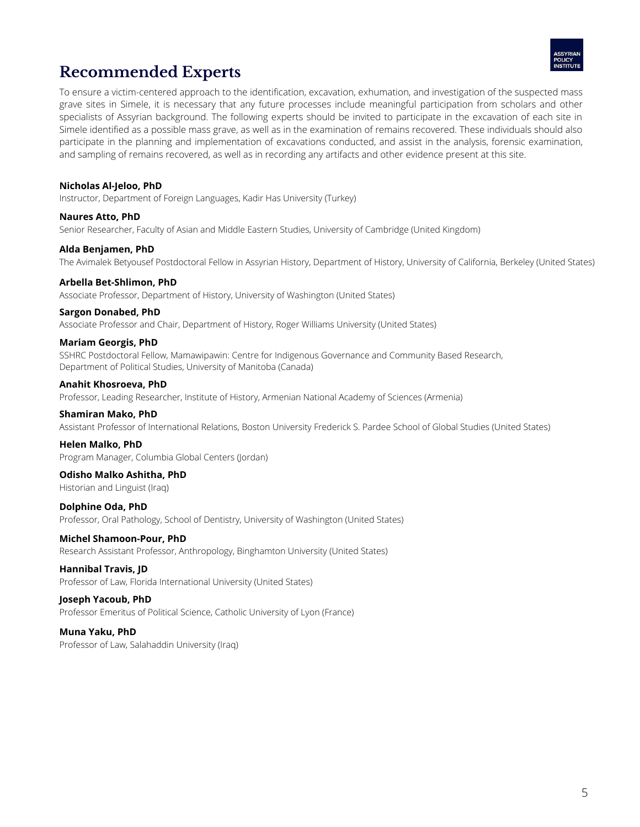

# **Recommended Experts**

To ensure a victim-centered approach to the identification, excavation, exhumation, and investigation of the suspected mass grave sites in Simele, it is necessary that any future processes include meaningful participation from scholars and other specialists of Assyrian background. The following experts should be invited to participate in the excavation of each site in Simele identified as a possible mass grave, as well as in the examination of remains recovered. These individuals should also participate in the planning and implementation of excavations conducted, and assist in the analysis, forensic examination, and sampling of remains recovered, as well as in recording any artifacts and other evidence present at this site.

#### **Nicholas Al-Jeloo, PhD**

Instructor, Department of Foreign Languages, Kadir Has University (Turkey)

#### **Naures Atto, PhD**

Senior Researcher, Faculty of Asian and Middle Eastern Studies, University of Cambridge (United Kingdom)

#### **Alda Benjamen, PhD**

The Avimalek Betyousef Postdoctoral Fellow in Assyrian History, Department of History, University of California, Berkeley (United States)

#### **Arbella Bet-Shlimon, PhD**

Associate Professor, Department of History, University of Washington (United States)

#### **Sargon Donabed, PhD**

Associate Professor and Chair, Department of History, Roger Williams University (United States)

#### **Mariam Georgis, PhD**

SSHRC Postdoctoral Fellow, Mamawipawin: Centre for Indigenous Governance and Community Based Research, Department of Political Studies, University of Manitoba (Canada)

#### **Anahit Khosroeva, PhD**

Professor, Leading Researcher, Institute of History, Armenian National Academy of Sciences (Armenia)

#### **Shamiran Mako, PhD**

Assistant Professor of International Relations, Boston University Frederick S. Pardee School of Global Studies (United States)

#### **Helen Malko, PhD**

Program Manager, Columbia Global Centers (Jordan)

#### **Odisho Malko Ashitha, PhD**

Historian and Linguist (Iraq)

**Dolphine Oda, PhD** Professor, Oral Pathology, School of Dentistry, University of Washington (United States)

#### **Michel Shamoon-Pour, PhD**

Research Assistant Professor, Anthropology, Binghamton University (United States)

#### **Hannibal Travis, JD**

Professor of Law, Florida International University (United States)

#### **Joseph Yacoub, PhD**

Professor Emeritus of Political Science, Catholic University of Lyon (France)

#### **Muna Yaku, PhD**

Professor of Law, Salahaddin University (Iraq)